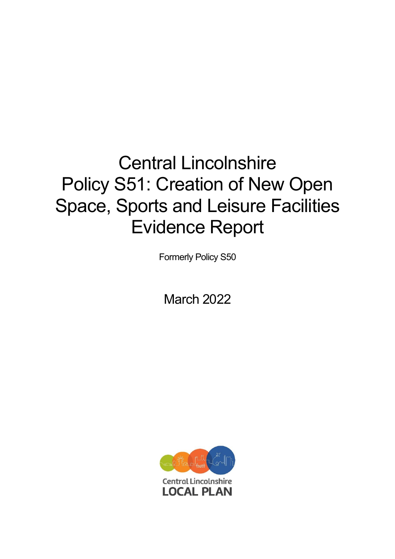# Central Lincolnshire Policy S51: Creation of New Open Space, Sports and Leisure Facilities Evidence Report

Formerly Policy S50

March 2022

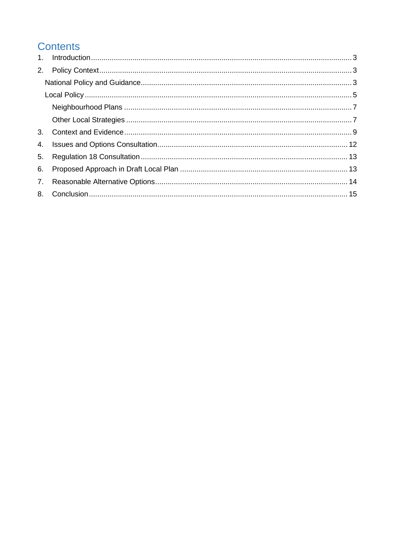# **Contents**

| 2. |  |
|----|--|
|    |  |
|    |  |
|    |  |
|    |  |
| 3. |  |
| 4. |  |
| 5. |  |
| 6. |  |
| 7. |  |
|    |  |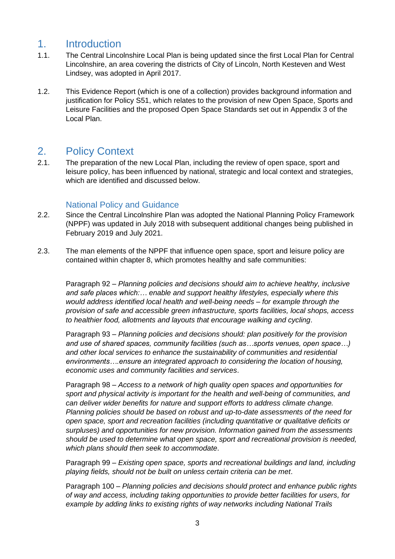### <span id="page-2-0"></span>1. Introduction

- 1.1. The Central Lincolnshire Local Plan is being updated since the first Local Plan for Central Lincolnshire, an area covering the districts of City of Lincoln, North Kesteven and West Lindsey, was adopted in April 2017.
- 1.2. This Evidence Report (which is one of a collection) provides background information and justification for Policy S51, which relates to the provision of new Open Space, Sports and Leisure Facilities and the proposed Open Space Standards set out in Appendix 3 of the Local Plan.

### <span id="page-2-1"></span>2. Policy Context

2.1. The preparation of the new Local Plan, including the review of open space, sport and leisure policy, has been influenced by national, strategic and local context and strategies, which are identified and discussed below.

#### National Policy and Guidance

- <span id="page-2-2"></span>2.2. Since the Central Lincolnshire Plan was adopted the National Planning Policy Framework (NPPF) was updated in July 2018 with subsequent additional changes being published in February 2019 and July 2021.
- 2.3. The man elements of the NPPF that influence open space, sport and leisure policy are contained within chapter 8, which promotes healthy and safe communities:

Paragraph 92 – *Planning policies and decisions should aim to achieve healthy, inclusive and safe places which:… enable and support healthy lifestyles, especially where this would address identified local health and well-being needs – for example through the provision of safe and accessible green infrastructure, sports facilities, local shops, access to healthier food, allotments and layouts that encourage walking and cycling*.

Paragraph 93 – *Planning policies and decisions should: plan positively for the provision and use of shared spaces, community facilities (such as…sports venues, open space…) and other local services to enhance the sustainability of communities and residential environments….ensure an integrated approach to considering the location of housing, economic uses and community facilities and services*.

Paragraph 98 – *Access to a network of high quality open spaces and opportunities for sport and physical activity is important for the health and well-being of communities, and can deliver wider benefits for nature and support efforts to address climate change. Planning policies should be based on robust and up-to-date assessments of the need for open space, sport and recreation facilities (including quantitative or qualitative deficits or surpluses) and opportunities for new provision. Information gained from the assessments should be used to determine what open space, sport and recreational provision is needed, which plans should then seek to accommodate*.

Paragraph 99 – *Existing open space, sports and recreational buildings and land, including playing fields, should not be built on unless certain criteria can be met*.

Paragraph 100 – *Planning policies and decisions should protect and enhance public rights of way and access, including taking opportunities to provide better facilities for users, for example by adding links to existing rights of way networks including National Trails*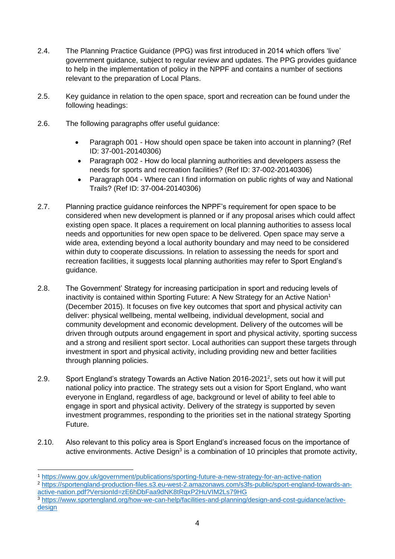- 2.4. The Planning Practice Guidance (PPG) was first introduced in 2014 which offers 'live' government guidance, subject to regular review and updates. The PPG provides guidance to help in the implementation of policy in the NPPF and contains a number of sections relevant to the preparation of Local Plans.
- 2.5. Key guidance in relation to the open space, sport and recreation can be found under the following headings:
- 2.6. The following paragraphs offer useful guidance:
	- Paragraph 001 How should open space be taken into account in planning? (Ref ID: 37-001-20140306)
	- Paragraph 002 How do local planning authorities and developers assess the needs for sports and recreation facilities? (Ref ID: 37-002-20140306)
	- Paragraph 004 Where can I find information on public rights of way and National Trails? (Ref ID: 37-004-20140306)
- 2.7. Planning practice guidance reinforces the NPPF's requirement for open space to be considered when new development is planned or if any proposal arises which could affect existing open space. It places a requirement on local planning authorities to assess local needs and opportunities for new open space to be delivered. Open space may serve a wide area, extending beyond a local authority boundary and may need to be considered within duty to cooperate discussions. In relation to assessing the needs for sport and recreation facilities, it suggests local planning authorities may refer to Sport England's guidance.
- 2.8. The Government' Strategy for increasing participation in sport and reducing levels of inactivity is contained within Sporting Future: A New Strategy for an Active Nation<sup>1</sup> (December 2015). It focuses on five key outcomes that sport and physical activity can deliver: physical wellbeing, mental wellbeing, individual development, social and community development and economic development. Delivery of the outcomes will be driven through outputs around engagement in sport and physical activity, sporting success and a strong and resilient sport sector. Local authorities can support these targets through investment in sport and physical activity, including providing new and better facilities through planning policies.
- 2.9. Sport England's strategy Towards an Active Nation 2016-2021<sup>2</sup>, sets out how it will put national policy into practice. The strategy sets out a vision for Sport England, who want everyone in England, regardless of age, background or level of ability to feel able to engage in sport and physical activity. Delivery of the strategy is supported by seven investment programmes, responding to the priorities set in the national strategy Sporting Future.
- 2.10. Also relevant to this policy area is Sport England's increased focus on the importance of active environments. Active Design<sup>3</sup> is a combination of 10 principles that promote activity,

<sup>3</sup> [https://www.sportengland.org/how-we-can-help/facilities-and-planning/design-and-cost-guidance/active](https://www.sportengland.org/how-we-can-help/facilities-and-planning/design-and-cost-guidance/active-design)[design](https://www.sportengland.org/how-we-can-help/facilities-and-planning/design-and-cost-guidance/active-design)

<sup>1</sup> <https://www.gov.uk/government/publications/sporting-future-a-new-strategy-for-an-active-nation>

<sup>2</sup> [https://sportengland-production-files.s3.eu-west-2.amazonaws.com/s3fs-public/sport-england-towards-an](https://sportengland-production-files.s3.eu-west-2.amazonaws.com/s3fs-public/sport-england-towards-an-active-nation.pdf?VersionId=zE6hDbFaa9dNK8tRqxP2HuVIM2Ls79HG)[active-nation.pdf?VersionId=zE6hDbFaa9dNK8tRqxP2HuVIM2Ls79HG](https://sportengland-production-files.s3.eu-west-2.amazonaws.com/s3fs-public/sport-england-towards-an-active-nation.pdf?VersionId=zE6hDbFaa9dNK8tRqxP2HuVIM2Ls79HG)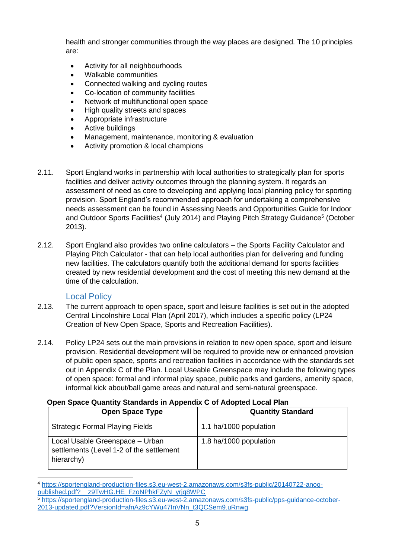health and stronger communities through the way places are designed. The 10 principles are:

- Activity for all neighbourhoods
- Walkable communities
- Connected walking and cycling routes
- Co-location of community facilities
- Network of multifunctional open space
- High quality streets and spaces
- Appropriate infrastructure
- Active buildings
- Management, maintenance, monitoring & evaluation
- Activity promotion & local champions
- 2.11. Sport England works in partnership with local authorities to strategically plan for sports facilities and deliver activity outcomes through the planning system. It regards an assessment of need as core to developing and applying local planning policy for sporting provision. Sport England's recommended approach for undertaking a comprehensive needs assessment can be found in Assessing Needs and Opportunities Guide for Indoor and Outdoor Sports Facilities<sup>4</sup> (July 2014) and Playing Pitch Strategy Guidance<sup>5</sup> (October 2013).
- 2.12. Sport England also provides two online calculators the Sports Facility Calculator and Playing Pitch Calculator - that can help local authorities plan for delivering and funding new facilities. The calculators quantify both the additional demand for sports facilities created by new residential development and the cost of meeting this new demand at the time of the calculation.

#### Local Policy

- <span id="page-4-0"></span>2.13. The current approach to open space, sport and leisure facilities is set out in the adopted Central Lincolnshire Local Plan (April 2017), which includes a specific policy (LP24 Creation of New Open Space, Sports and Recreation Facilities).
- 2.14. Policy LP24 sets out the main provisions in relation to new open space, sport and leisure provision. Residential development will be required to provide new or enhanced provision of public open space, sports and recreation facilities in accordance with the standards set out in Appendix C of the Plan. Local Useable Greenspace may include the following types of open space: formal and informal play space, public parks and gardens, amenity space, informal kick about/ball game areas and natural and semi-natural greenspace.

#### **Open Space Quantity Standards in Appendix C of Adopted Local Plan**

| <b>Open Space Type</b>                                                                    | <b>Quantity Standard</b> |
|-------------------------------------------------------------------------------------------|--------------------------|
| <b>Strategic Formal Playing Fields</b>                                                    | 1.1 ha/1000 population   |
| Local Usable Greenspace - Urban<br>settlements (Level 1-2 of the settlement<br>hierarchy) | 1.8 ha/1000 population   |

<sup>4</sup> [https://sportengland-production-files.s3.eu-west-2.amazonaws.com/s3fs-public/20140722-anog](https://sportengland-production-files.s3.eu-west-2.amazonaws.com/s3fs-public/20140722-anog-published.pdf?__z9TwHG.HE_FzoNPhkFZyN_yrjq8WPC)[published.pdf?\\_\\_z9TwHG.HE\\_FzoNPhkFZyN\\_yrjq8WPC](https://sportengland-production-files.s3.eu-west-2.amazonaws.com/s3fs-public/20140722-anog-published.pdf?__z9TwHG.HE_FzoNPhkFZyN_yrjq8WPC)

<sup>5</sup> [https://sportengland-production-files.s3.eu-west-2.amazonaws.com/s3fs-public/pps-guidance-october-](https://sportengland-production-files.s3.eu-west-2.amazonaws.com/s3fs-public/pps-guidance-october-2013-updated.pdf?VersionId=afnAz9cYWu47InVNn_t3QCSem9.uRnwg)[2013-updated.pdf?VersionId=afnAz9cYWu47InVNn\\_t3QCSem9.uRnwg](https://sportengland-production-files.s3.eu-west-2.amazonaws.com/s3fs-public/pps-guidance-october-2013-updated.pdf?VersionId=afnAz9cYWu47InVNn_t3QCSem9.uRnwg)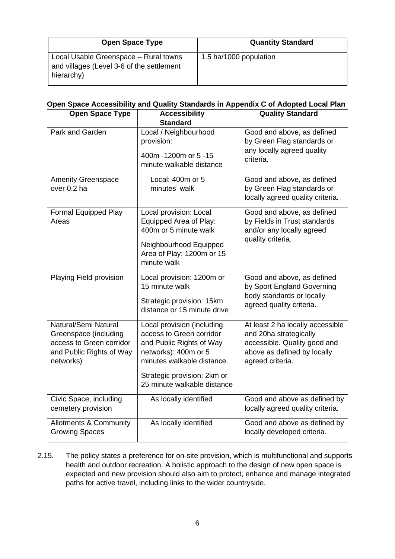| <b>Open Space Type</b>                                                                           | <b>Quantity Standard</b> |
|--------------------------------------------------------------------------------------------------|--------------------------|
| Local Usable Greenspace - Rural towns<br>and villages (Level 3-6 of the settlement<br>hierarchy) | 1.5 ha/1000 population   |

#### **Open Space Accessibility and Quality Standards in Appendix C of Adopted Local Plan**

| <b>Open Space Type</b>                                                                                             | <b>Accessibility</b><br><b>Standard</b>                                                                                                                                                                | <b>Quality Standard</b>                                                                                                                       |
|--------------------------------------------------------------------------------------------------------------------|--------------------------------------------------------------------------------------------------------------------------------------------------------------------------------------------------------|-----------------------------------------------------------------------------------------------------------------------------------------------|
| Park and Garden                                                                                                    | Local / Neighbourhood<br>provision:<br>400m -1200m or 5 -15<br>minute walkable distance                                                                                                                | Good and above, as defined<br>by Green Flag standards or<br>any locally agreed quality<br>criteria.                                           |
| <b>Amenity Greenspace</b><br>over 0.2 ha                                                                           | Local: 400m or 5<br>minutes' walk                                                                                                                                                                      | Good and above, as defined<br>by Green Flag standards or<br>locally agreed quality criteria.                                                  |
| Formal Equipped Play<br>Areas                                                                                      | Local provision: Local<br>Equipped Area of Play:<br>400m or 5 minute walk<br>Neighbourhood Equipped<br>Area of Play: 1200m or 15<br>minute walk                                                        | Good and above, as defined<br>by Fields in Trust standards<br>and/or any locally agreed<br>quality criteria.                                  |
| Playing Field provision                                                                                            | Local provision: 1200m or<br>15 minute walk<br>Strategic provision: 15km<br>distance or 15 minute drive                                                                                                | Good and above, as defined<br>by Sport England Governing<br>body standards or locally<br>agreed quality criteria.                             |
| Natural/Semi Natural<br>Greenspace (including<br>access to Green corridor<br>and Public Rights of Way<br>networks) | Local provision (including<br>access to Green corridor<br>and Public Rights of Way<br>networks): 400m or 5<br>minutes walkable distance.<br>Strategic provision: 2km or<br>25 minute walkable distance | At least 2 ha locally accessible<br>and 20ha strategically<br>accessible. Quality good and<br>above as defined by locally<br>agreed criteria. |
| Civic Space, including<br>cemetery provision                                                                       | As locally identified                                                                                                                                                                                  | Good and above as defined by<br>locally agreed quality criteria.                                                                              |
| <b>Allotments &amp; Community</b><br><b>Growing Spaces</b>                                                         | As locally identified                                                                                                                                                                                  | Good and above as defined by<br>locally developed criteria.                                                                                   |

2.15. The policy states a preference for on-site provision, which is multifunctional and supports health and outdoor recreation. A holistic approach to the design of new open space is expected and new provision should also aim to protect, enhance and manage integrated paths for active travel, including links to the wider countryside.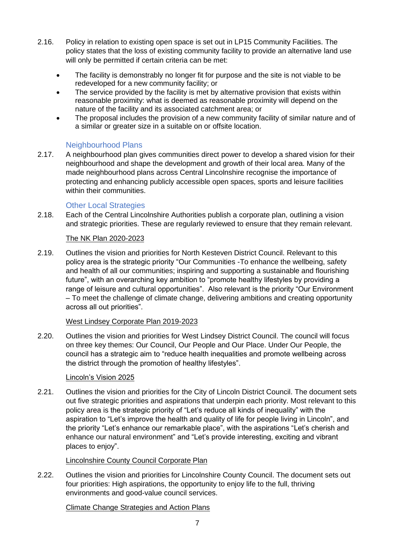- 2.16. Policy in relation to existing open space is set out in LP15 Community Facilities. The policy states that the loss of existing community facility to provide an alternative land use will only be permitted if certain criteria can be met:
	- The facility is demonstrably no longer fit for purpose and the site is not viable to be redeveloped for a new community facility; or
	- The service provided by the facility is met by alternative provision that exists within reasonable proximity: what is deemed as reasonable proximity will depend on the nature of the facility and its associated catchment area; or
	- The proposal includes the provision of a new community facility of similar nature and of a similar or greater size in a suitable on or offsite location.

#### Neighbourhood Plans

<span id="page-6-0"></span>2.17. A neighbourhood plan gives communities direct power to develop a shared vision for their neighbourhood and shape the development and growth of their local area. Many of the made neighbourhood plans across Central Lincolnshire recognise the importance of protecting and enhancing publicly accessible open spaces, sports and leisure facilities within their communities.

#### **Other Local Strategies**

<span id="page-6-1"></span>2.18. Each of the Central Lincolnshire Authorities publish a corporate plan, outlining a vision and strategic priorities. These are regularly reviewed to ensure that they remain relevant.

#### The NK Plan 2020-2023

2.19. Outlines the vision and priorities for North Kesteven District Council. Relevant to this policy area is the strategic priority "Our Communities -To enhance the wellbeing, safety and health of all our communities; inspiring and supporting a sustainable and flourishing future", with an overarching key ambition to "promote healthy lifestyles by providing a range of leisure and cultural opportunities". Also relevant is the priority "Our Environment – To meet the challenge of climate change, delivering ambitions and creating opportunity across all out priorities".

#### West Lindsey Corporate Plan 2019-2023

2.20. Outlines the vision and priorities for West Lindsey District Council. The council will focus on three key themes: Our Council, Our People and Our Place. Under Our People, the council has a strategic aim to "reduce health inequalities and promote wellbeing across the district through the promotion of healthy lifestyles".

#### Lincoln's Vision 2025

2.21. Outlines the vision and priorities for the City of Lincoln District Council. The document sets out five strategic priorities and aspirations that underpin each priority. Most relevant to this policy area is the strategic priority of "Let's reduce all kinds of inequality" with the aspiration to "Let's improve the health and quality of life for people living in Lincoln", and the priority "Let's enhance our remarkable place", with the aspirations "Let's cherish and enhance our natural environment" and "Let's provide interesting, exciting and vibrant places to enjoy".

#### Lincolnshire County Council Corporate Plan

2.22. Outlines the vision and priorities for Lincolnshire County Council. The document sets out four priorities: High aspirations, the opportunity to enjoy life to the full, thriving environments and good-value council services.

#### Climate Change Strategies and Action Plans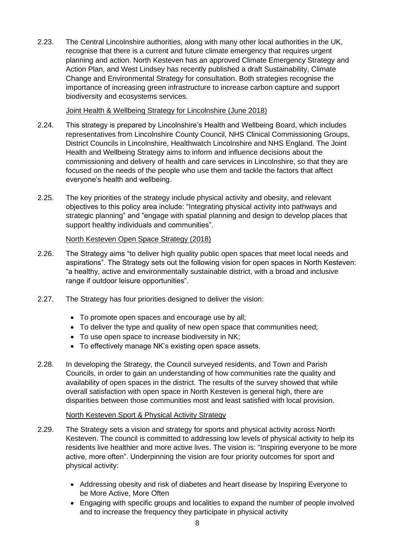2.23. The Central Lincolnshire authorities, along with many other local authorities in the UK, recognise that there is a current and future climate emergency that requires urgent planning and action. North Kesteven has an approved Climate Emergency Strategy and Action Plan, and West Lindsey has recently published a draft Sustainability, Climate Change and Environmental Strategy for consultation. Both strategies recognise the importance of increasing green infrastructure to increase carbon capture and support biodiversity and ecosystems services.

Joint Health & Wellbeing Strategy for Lincolnshire (June 2018)

- 2.24. This strategy is prepared by Lincolnshire's Health and Wellbeing Board, which includes representatives from Lincolnshire County Council, NHS Clinical Commissioning Groups, District Councils in Lincolnshire, Healthwatch Lincolnshire and NHS England. The Joint Health and Wellbeing Strategy aims to inform and influence decisions about the commissioning and delivery of health and care services in Lincolnshire, so that they are focused on the needs of the people who use them and tackle the factors that affect everyone's health and wellbeing.
- 2.25. The key priorities of the strategy include physical activity and obesity, and relevant objectives to this policy area include: "Integrating physical activity into pathways and strategic planning" and "engage with spatial planning and design to develop places that support healthy individuals and communities".

#### North Kesteven Open Space Strategy (2018)

- 2.26. The Strategy aims "to deliver high quality public open spaces that meet local needs and aspirations". The Strategy sets out the following vision for open spaces in North Kesteven: "a healthy, active and environmentally sustainable district, with a broad and inclusive range if outdoor leisure opportunities".
- 2.27. The Strategy has four priorities designed to deliver the vision:
	- To promote open spaces and encourage use by all;
	- To deliver the type and quality of new open space that communities need;
	- To use open space to increase biodiversity in NK;
	- To effectively manage NK's existing open space assets.
- 2.28. In developing the Strategy, the Council surveyed residents, and Town and Parish Councils, in order to gain an understanding of how communities rate the quality and availability of open spaces in the district. The results of the survey showed that while overall satisfaction with open space in North Kesteven is general high, there are disparities between those communities most and least satisfied with local provision.

#### North Kesteven Sport & Physical Activity Strategy

- 2.29. The Strategy sets a vision and strategy for sports and physical activity across North Kesteven. The council is committed to addressing low levels of physical activity to help its residents live healthier and more active lives. The vision is: "Inspiring everyone to be more active, more often". Underpinning the vision are four priority outcomes for sport and physical activity:
	- Addressing obesity and risk of diabetes and heart disease by Inspiring Everyone to be More Active, More Often
	- Engaging with specific groups and localities to expand the number of people involved and to increase the frequency they participate in physical activity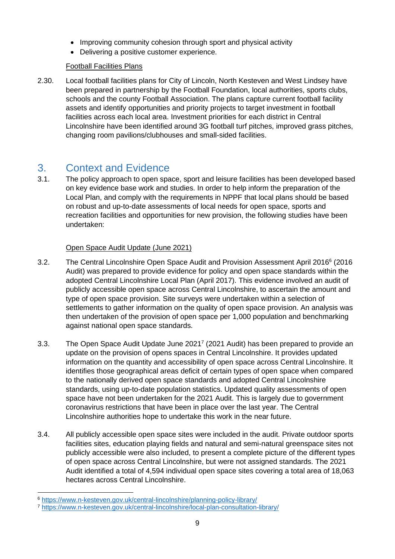- Improving community cohesion through sport and physical activity
- Delivering a positive customer experience.

#### Football Facilities Plans

2.30. Local football facilities plans for City of Lincoln, North Kesteven and West Lindsey have been prepared in partnership by the Football Foundation, local authorities, sports clubs, schools and the county Football Association. The plans capture current football facility assets and identify opportunities and priority projects to target investment in football facilities across each local area. Investment priorities for each district in Central Lincolnshire have been identified around 3G football turf pitches, improved grass pitches, changing room pavilions/clubhouses and small-sided facilities.

### <span id="page-8-0"></span>3. Context and Evidence

3.1. The policy approach to open space, sport and leisure facilities has been developed based on key evidence base work and studies. In order to help inform the preparation of the Local Plan, and comply with the requirements in NPPF that local plans should be based on robust and up-to-date assessments of local needs for open space, sports and recreation facilities and opportunities for new provision, the following studies have been undertaken:

#### Open Space Audit Update (June 2021)

- 3.2. The Central Lincolnshire Open Space Audit and Provision Assessment April 2016<sup>6</sup> (2016 Audit) was prepared to provide evidence for policy and open space standards within the adopted Central Lincolnshire Local Plan (April 2017). This evidence involved an audit of publicly accessible open space across Central Lincolnshire, to ascertain the amount and type of open space provision. Site surveys were undertaken within a selection of settlements to gather information on the quality of open space provision. An analysis was then undertaken of the provision of open space per 1,000 population and benchmarking against national open space standards.
- 3.3. The Open Space Audit Update June  $2021^7$  (2021 Audit) has been prepared to provide an update on the provision of opens spaces in Central Lincolnshire. It provides updated information on the quantity and accessibility of open space across Central Lincolnshire. It identifies those geographical areas deficit of certain types of open space when compared to the nationally derived open space standards and adopted Central Lincolnshire standards, using up-to-date population statistics. Updated quality assessments of open space have not been undertaken for the 2021 Audit. This is largely due to government coronavirus restrictions that have been in place over the last year. The Central Lincolnshire authorities hope to undertake this work in the near future.
- 3.4. All publicly accessible open space sites were included in the audit. Private outdoor sports facilities sites, education playing fields and natural and semi-natural greenspace sites not publicly accessible were also included, to present a complete picture of the different types of open space across Central Lincolnshire, but were not assigned standards. The 2021 Audit identified a total of 4,594 individual open space sites covering a total area of 18,063 hectares across Central Lincolnshire.

<sup>6</sup> <https://www.n-kesteven.gov.uk/central-lincolnshire/planning-policy-library/>

<sup>7</sup> <https://www.n-kesteven.gov.uk/central-lincolnshire/local-plan-consultation-library/>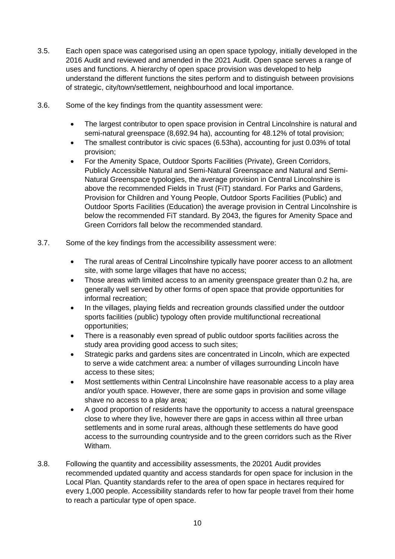- 3.5. Each open space was categorised using an open space typology, initially developed in the 2016 Audit and reviewed and amended in the 2021 Audit. Open space serves a range of uses and functions. A hierarchy of open space provision was developed to help understand the different functions the sites perform and to distinguish between provisions of strategic, city/town/settlement, neighbourhood and local importance.
- 3.6. Some of the key findings from the quantity assessment were:
	- The largest contributor to open space provision in Central Lincolnshire is natural and semi-natural greenspace (8,692.94 ha), accounting for 48.12% of total provision;
	- The smallest contributor is civic spaces (6.53ha), accounting for just 0.03% of total provision;
	- For the Amenity Space, Outdoor Sports Facilities (Private), Green Corridors, Publicly Accessible Natural and Semi-Natural Greenspace and Natural and Semi-Natural Greenspace typologies, the average provision in Central Lincolnshire is above the recommended Fields in Trust (FiT) standard. For Parks and Gardens, Provision for Children and Young People, Outdoor Sports Facilities (Public) and Outdoor Sports Facilities (Education) the average provision in Central Lincolnshire is below the recommended FiT standard. By 2043, the figures for Amenity Space and Green Corridors fall below the recommended standard.
- 3.7. Some of the key findings from the accessibility assessment were:
	- The rural areas of Central Lincolnshire typically have poorer access to an allotment site, with some large villages that have no access;
	- Those areas with limited access to an amenity greenspace greater than 0.2 ha, are generally well served by other forms of open space that provide opportunities for informal recreation;
	- In the villages, playing fields and recreation grounds classified under the outdoor sports facilities (public) typology often provide multifunctional recreational opportunities;
	- There is a reasonably even spread of public outdoor sports facilities across the study area providing good access to such sites;
	- Strategic parks and gardens sites are concentrated in Lincoln, which are expected to serve a wide catchment area: a number of villages surrounding Lincoln have access to these sites;
	- Most settlements within Central Lincolnshire have reasonable access to a play area and/or youth space. However, there are some gaps in provision and some village shave no access to a play area;
	- A good proportion of residents have the opportunity to access a natural greenspace close to where they live, however there are gaps in access within all three urban settlements and in some rural areas, although these settlements do have good access to the surrounding countryside and to the green corridors such as the River Witham.
- 3.8. Following the quantity and accessibility assessments, the 20201 Audit provides recommended updated quantity and access standards for open space for inclusion in the Local Plan. Quantity standards refer to the area of open space in hectares required for every 1,000 people. Accessibility standards refer to how far people travel from their home to reach a particular type of open space.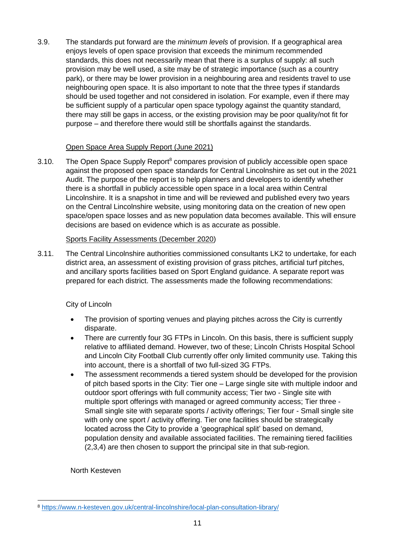3.9. The standards put forward are the *minimum levels* of provision. If a geographical area enjoys levels of open space provision that exceeds the minimum recommended standards, this does not necessarily mean that there is a surplus of supply: all such provision may be well used, a site may be of strategic importance (such as a country park), or there may be lower provision in a neighbouring area and residents travel to use neighbouring open space. It is also important to note that the three types if standards should be used together and not considered in isolation. For example, even if there may be sufficient supply of a particular open space typology against the quantity standard, there may still be gaps in access, or the existing provision may be poor quality/not fit for purpose – and therefore there would still be shortfalls against the standards.

#### Open Space Area Supply Report (June 2021)

3.10. The Open Space Supply Report<sup>8</sup> compares provision of publicly accessible open space against the proposed open space standards for Central Lincolnshire as set out in the 2021 Audit. The purpose of the report is to help planners and developers to identify whether there is a shortfall in publicly accessible open space in a local area within Central Lincolnshire. It is a snapshot in time and will be reviewed and published every two years on the Central Lincolnshire website, using monitoring data on the creation of new open space/open space losses and as new population data becomes available. This will ensure decisions are based on evidence which is as accurate as possible.

#### Sports Facility Assessments (December 2020)

3.11. The Central Lincolnshire authorities commissioned consultants LK2 to undertake, for each district area, an assessment of existing provision of grass pitches, artificial turf pitches, and ancillary sports facilities based on Sport England guidance. A separate report was prepared for each district. The assessments made the following recommendations:

City of Lincoln

- The provision of sporting venues and playing pitches across the City is currently disparate.
- There are currently four 3G FTPs in Lincoln. On this basis, there is sufficient supply relative to affiliated demand. However, two of these; Lincoln Christs Hospital School and Lincoln City Football Club currently offer only limited community use. Taking this into account, there is a shortfall of two full-sized 3G FTPs.
- The assessment recommends a tiered system should be developed for the provision of pitch based sports in the City: Tier one – Large single site with multiple indoor and outdoor sport offerings with full community access; Tier two - Single site with multiple sport offerings with managed or agreed community access; Tier three - Small single site with separate sports / activity offerings; Tier four - Small single site with only one sport / activity offering. Tier one facilities should be strategically located across the City to provide a 'geographical split' based on demand, population density and available associated facilities. The remaining tiered facilities (2,3,4) are then chosen to support the principal site in that sub-region.

North Kesteven

<sup>8</sup> <https://www.n-kesteven.gov.uk/central-lincolnshire/local-plan-consultation-library/>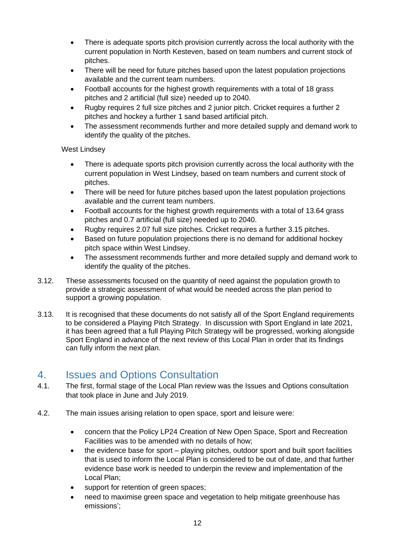- There is adequate sports pitch provision currently across the local authority with the current population in North Kesteven, based on team numbers and current stock of pitches.
- There will be need for future pitches based upon the latest population projections available and the current team numbers.
- Football accounts for the highest growth requirements with a total of 18 grass pitches and 2 artificial (full size) needed up to 2040.
- Rugby requires 2 full size pitches and 2 junior pitch. Cricket requires a further 2 pitches and hockey a further 1 sand based artificial pitch.
- The assessment recommends further and more detailed supply and demand work to identify the quality of the pitches.

#### West Lindsey

- There is adequate sports pitch provision currently across the local authority with the current population in West Lindsey, based on team numbers and current stock of pitches.
- There will be need for future pitches based upon the latest population projections available and the current team numbers.
- Football accounts for the highest growth requirements with a total of 13.64 grass pitches and 0.7 artificial (full size) needed up to 2040.
- Rugby requires 2.07 full size pitches. Cricket requires a further 3.15 pitches.
- Based on future population projections there is no demand for additional hockey pitch space within West Lindsey.
- The assessment recommends further and more detailed supply and demand work to identify the quality of the pitches.
- 3.12. These assessments focused on the quantity of need against the population growth to provide a strategic assessment of what would be needed across the plan period to support a growing population.
- 3.13. It is recognised that these documents do not satisfy all of the Sport England requirements to be considered a Playing Pitch Strategy. In discussion with Sport England in late 2021, it has been agreed that a full Playing Pitch Strategy will be progressed, working alongside Sport England in advance of the next review of this Local Plan in order that its findings can fully inform the next plan.

### <span id="page-11-0"></span>4. Issues and Options Consultation

- 4.1. The first, formal stage of the Local Plan review was the Issues and Options consultation that took place in June and July 2019.
- 4.2. The main issues arising relation to open space, sport and leisure were:
	- concern that the Policy LP24 Creation of New Open Space, Sport and Recreation Facilities was to be amended with no details of how;
	- the evidence base for sport playing pitches, outdoor sport and built sport facilities that is used to inform the Local Plan is considered to be out of date, and that further evidence base work is needed to underpin the review and implementation of the Local Plan;
	- support for retention of green spaces;
	- need to maximise green space and vegetation to help mitigate greenhouse has emissions';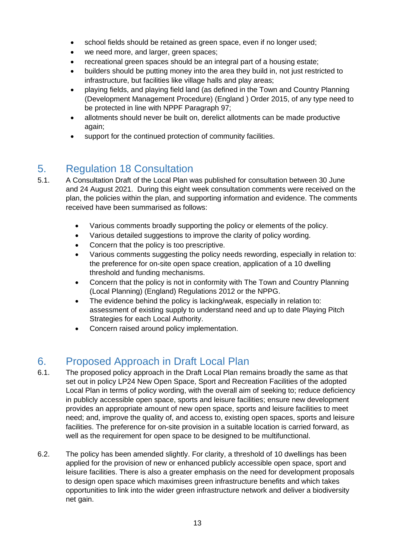- school fields should be retained as green space, even if no longer used:
- we need more, and larger, green spaces;
- recreational green spaces should be an integral part of a housing estate;
- builders should be putting money into the area they build in, not just restricted to infrastructure, but facilities like village halls and play areas;
- playing fields, and playing field land (as defined in the Town and Country Planning (Development Management Procedure) (England ) Order 2015, of any type need to be protected in line with NPPF Paragraph 97;
- allotments should never be built on, derelict allotments can be made productive again;
- support for the continued protection of community facilities.

# <span id="page-12-0"></span>5. Regulation 18 Consultation

- 5.1. A Consultation Draft of the Local Plan was published for consultation between 30 June and 24 August 2021. During this eight week consultation comments were received on the plan, the policies within the plan, and supporting information and evidence. The comments received have been summarised as follows:
	- Various comments broadly supporting the policy or elements of the policy.
	- Various detailed suggestions to improve the clarity of policy wording.
	- Concern that the policy is too prescriptive.
	- Various comments suggesting the policy needs rewording, especially in relation to: the preference for on-site open space creation, application of a 10 dwelling threshold and funding mechanisms.
	- Concern that the policy is not in conformity with The Town and Country Planning (Local Planning) (England) Regulations 2012 or the NPPG.
	- The evidence behind the policy is lacking/weak, especially in relation to: assessment of existing supply to understand need and up to date Playing Pitch Strategies for each Local Authority.
	- Concern raised around policy implementation.

## <span id="page-12-1"></span>6. Proposed Approach in Draft Local Plan

- 6.1. The proposed policy approach in the Draft Local Plan remains broadly the same as that set out in policy LP24 New Open Space, Sport and Recreation Facilities of the adopted Local Plan in terms of policy wording, with the overall aim of seeking to; reduce deficiency in publicly accessible open space, sports and leisure facilities; ensure new development provides an appropriate amount of new open space, sports and leisure facilities to meet need; and, improve the quality of, and access to, existing open spaces, sports and leisure facilities. The preference for on-site provision in a suitable location is carried forward, as well as the requirement for open space to be designed to be multifunctional.
- 6.2. The policy has been amended slightly. For clarity, a threshold of 10 dwellings has been applied for the provision of new or enhanced publicly accessible open space, sport and leisure facilities. There is also a greater emphasis on the need for development proposals to design open space which maximises green infrastructure benefits and which takes opportunities to link into the wider green infrastructure network and deliver a biodiversity net gain.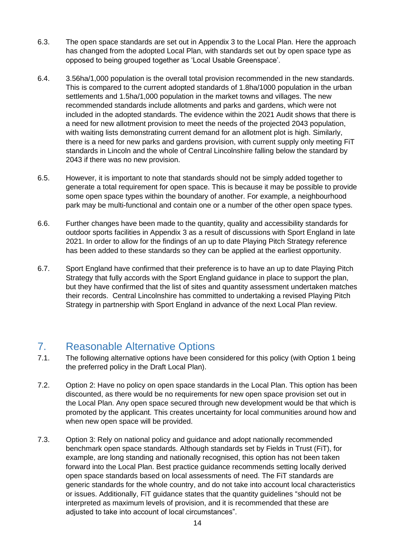- 6.3. The open space standards are set out in Appendix 3 to the Local Plan. Here the approach has changed from the adopted Local Plan, with standards set out by open space type as opposed to being grouped together as 'Local Usable Greenspace'.
- 6.4. 3.56ha/1,000 population is the overall total provision recommended in the new standards. This is compared to the current adopted standards of 1.8ha/1000 population in the urban settlements and 1.5ha/1,000 population in the market towns and villages. The new recommended standards include allotments and parks and gardens, which were not included in the adopted standards. The evidence within the 2021 Audit shows that there is a need for new allotment provision to meet the needs of the projected 2043 population, with waiting lists demonstrating current demand for an allotment plot is high. Similarly, there is a need for new parks and gardens provision, with current supply only meeting FiT standards in Lincoln and the whole of Central Lincolnshire falling below the standard by 2043 if there was no new provision.
- 6.5. However, it is important to note that standards should not be simply added together to generate a total requirement for open space. This is because it may be possible to provide some open space types within the boundary of another. For example, a neighbourhood park may be multi-functional and contain one or a number of the other open space types.
- 6.6. Further changes have been made to the quantity, quality and accessibility standards for outdoor sports facilities in Appendix 3 as a result of discussions with Sport England in late 2021. In order to allow for the findings of an up to date Playing Pitch Strategy reference has been added to these standards so they can be applied at the earliest opportunity.
- 6.7. Sport England have confirmed that their preference is to have an up to date Playing Pitch Strategy that fully accords with the Sport England guidance in place to support the plan, but they have confirmed that the list of sites and quantity assessment undertaken matches their records. Central Lincolnshire has committed to undertaking a revised Playing Pitch Strategy in partnership with Sport England in advance of the next Local Plan review.

## <span id="page-13-0"></span>7. Reasonable Alternative Options

- 7.1. The following alternative options have been considered for this policy (with Option 1 being the preferred policy in the Draft Local Plan).
- 7.2. Option 2: Have no policy on open space standards in the Local Plan. This option has been discounted, as there would be no requirements for new open space provision set out in the Local Plan. Any open space secured through new development would be that which is promoted by the applicant. This creates uncertainty for local communities around how and when new open space will be provided.
- 7.3. Option 3: Rely on national policy and guidance and adopt nationally recommended benchmark open space standards. Although standards set by Fields in Trust (FiT), for example, are long standing and nationally recognised, this option has not been taken forward into the Local Plan. Best practice guidance recommends setting locally derived open space standards based on local assessments of need. The FiT standards are generic standards for the whole country, and do not take into account local characteristics or issues. Additionally, FiT guidance states that the quantity guidelines "should not be interpreted as maximum levels of provision, and it is recommended that these are adjusted to take into account of local circumstances".